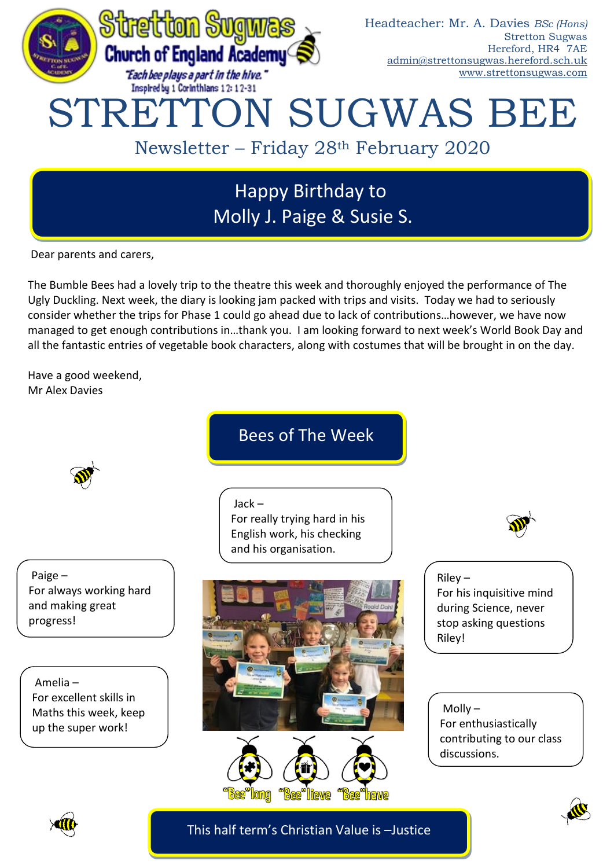

# Happy Birthday to Molly J. Paige & Susie S.

Dear parents and carers,

The Bumble Bees had a lovely trip to the theatre this week and thoroughly enjoyed the performance of The Ugly Duckling. Next week, the diary is looking jam packed with trips and visits. Today we had to seriously consider whether the trips for Phase 1 could go ahead due to lack of contributions…however, we have now managed to get enough contributions in…thank you. I am looking forward to next week's World Book Day and all the fantastic entries of vegetable book characters, along with costumes that will be brought in on the day.

Have a good weekend, Mr Alex Davies



Paige – For always working hard and making great progress!

Amelia – For excellent skills in Maths this week, keep up the super work!

# Bees of The Week

Jack – For really trying hard in his English work, his checking and his organisation.







Riley – For his inquisitive mind during Science, never stop asking questions Riley!

Molly – For enthusiastically contributing to our class discussions.



This half term's Christian Value is –Justice